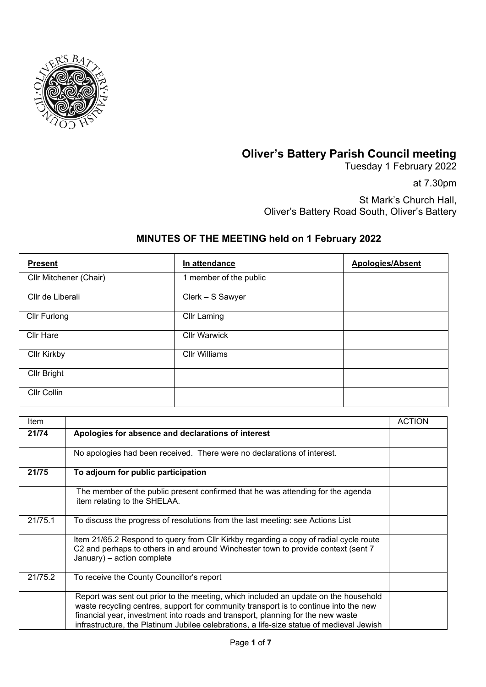

## **Oliver's Battery Parish Council meeting**

Tuesday 1 February 2022

at 7.30pm

St Mark's Church Hall, Oliver's Battery Road South, Oliver's Battery

## **MINUTES OF THE MEETING held on 1 February 2022**

| <b>Present</b>         | In attendance          | <b>Apologies/Absent</b> |
|------------------------|------------------------|-------------------------|
| Cllr Mitchener (Chair) | 1 member of the public |                         |
| Cllr de Liberali       | Clerk - S Sawyer       |                         |
| Cllr Furlong           | <b>Cllr Laming</b>     |                         |
| <b>Cllr Hare</b>       | <b>Cllr Warwick</b>    |                         |
| <b>Cllr Kirkby</b>     | <b>Cllr Williams</b>   |                         |
| Cllr Bright            |                        |                         |
| Cllr Collin            |                        |                         |

| Item    |                                                                                                                                                                                                                                                                                                                                                            | <b>ACTION</b> |
|---------|------------------------------------------------------------------------------------------------------------------------------------------------------------------------------------------------------------------------------------------------------------------------------------------------------------------------------------------------------------|---------------|
| 21/74   | Apologies for absence and declarations of interest                                                                                                                                                                                                                                                                                                         |               |
|         | No apologies had been received. There were no declarations of interest.                                                                                                                                                                                                                                                                                    |               |
| 21/75   | To adjourn for public participation                                                                                                                                                                                                                                                                                                                        |               |
|         | The member of the public present confirmed that he was attending for the agenda<br>item relating to the SHELAA.                                                                                                                                                                                                                                            |               |
| 21/75.1 | To discuss the progress of resolutions from the last meeting: see Actions List                                                                                                                                                                                                                                                                             |               |
|         | Item 21/65.2 Respond to query from CIIr Kirkby regarding a copy of radial cycle route<br>C2 and perhaps to others in and around Winchester town to provide context (sent 7<br>January) - action complete                                                                                                                                                   |               |
| 21/75.2 | To receive the County Councillor's report                                                                                                                                                                                                                                                                                                                  |               |
|         | Report was sent out prior to the meeting, which included an update on the household<br>waste recycling centres, support for community transport is to continue into the new<br>financial year, investment into roads and transport, planning for the new waste<br>infrastructure, the Platinum Jubilee celebrations, a life-size statue of medieval Jewish |               |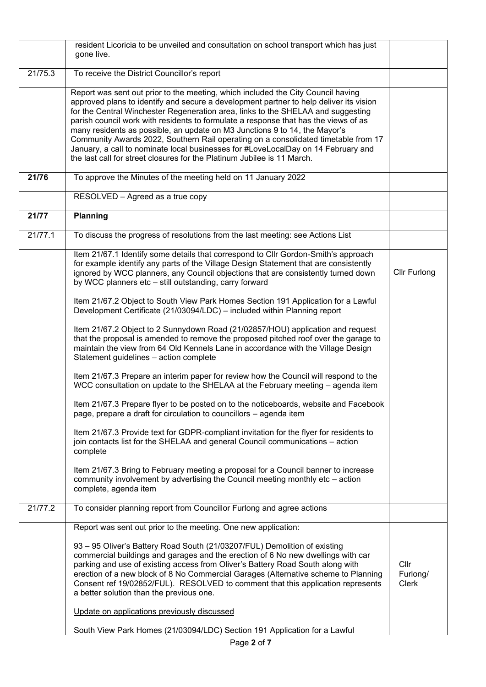|         | resident Licoricia to be unveiled and consultation on school transport which has just<br>gone live.                                                                                                                                                                                                                                                                                                                                                                                                                                                                                                                                                                                       |                                  |
|---------|-------------------------------------------------------------------------------------------------------------------------------------------------------------------------------------------------------------------------------------------------------------------------------------------------------------------------------------------------------------------------------------------------------------------------------------------------------------------------------------------------------------------------------------------------------------------------------------------------------------------------------------------------------------------------------------------|----------------------------------|
| 21/75.3 | To receive the District Councillor's report                                                                                                                                                                                                                                                                                                                                                                                                                                                                                                                                                                                                                                               |                                  |
|         | Report was sent out prior to the meeting, which included the City Council having<br>approved plans to identify and secure a development partner to help deliver its vision<br>for the Central Winchester Regeneration area, links to the SHELAA and suggesting<br>parish council work with residents to formulate a response that has the views of as<br>many residents as possible, an update on M3 Junctions 9 to 14, the Mayor's<br>Community Awards 2022, Southern Rail operating on a consolidated timetable from 17<br>January, a call to nominate local businesses for #LoveLocalDay on 14 February and<br>the last call for street closures for the Platinum Jubilee is 11 March. |                                  |
| 21/76   | To approve the Minutes of the meeting held on 11 January 2022                                                                                                                                                                                                                                                                                                                                                                                                                                                                                                                                                                                                                             |                                  |
|         | RESOLVED - Agreed as a true copy                                                                                                                                                                                                                                                                                                                                                                                                                                                                                                                                                                                                                                                          |                                  |
| 21/77   | Planning                                                                                                                                                                                                                                                                                                                                                                                                                                                                                                                                                                                                                                                                                  |                                  |
| 21/77.1 | To discuss the progress of resolutions from the last meeting: see Actions List                                                                                                                                                                                                                                                                                                                                                                                                                                                                                                                                                                                                            |                                  |
|         | Item 21/67.1 Identify some details that correspond to Cllr Gordon-Smith's approach<br>for example identify any parts of the Village Design Statement that are consistently<br>ignored by WCC planners, any Council objections that are consistently turned down<br>by WCC planners etc - still outstanding, carry forward                                                                                                                                                                                                                                                                                                                                                                 | <b>Cllr Furlong</b>              |
|         | Item 21/67.2 Object to South View Park Homes Section 191 Application for a Lawful<br>Development Certificate (21/03094/LDC) - included within Planning report                                                                                                                                                                                                                                                                                                                                                                                                                                                                                                                             |                                  |
|         | Item 21/67.2 Object to 2 Sunnydown Road (21/02857/HOU) application and request<br>that the proposal is amended to remove the proposed pitched roof over the garage to<br>maintain the view from 64 Old Kennels Lane in accordance with the Village Design<br>Statement guidelines - action complete                                                                                                                                                                                                                                                                                                                                                                                       |                                  |
|         | Item 21/67.3 Prepare an interim paper for review how the Council will respond to the<br>WCC consultation on update to the SHELAA at the February meeting - agenda item                                                                                                                                                                                                                                                                                                                                                                                                                                                                                                                    |                                  |
|         | Item 21/67.3 Prepare flyer to be posted on to the noticeboards, website and Facebook<br>page, prepare a draft for circulation to councillors - agenda item                                                                                                                                                                                                                                                                                                                                                                                                                                                                                                                                |                                  |
|         | Item 21/67.3 Provide text for GDPR-compliant invitation for the flyer for residents to<br>join contacts list for the SHELAA and general Council communications - action<br>complete                                                                                                                                                                                                                                                                                                                                                                                                                                                                                                       |                                  |
|         | Item 21/67.3 Bring to February meeting a proposal for a Council banner to increase<br>community involvement by advertising the Council meeting monthly etc – action<br>complete, agenda item                                                                                                                                                                                                                                                                                                                                                                                                                                                                                              |                                  |
| 21/77.2 | To consider planning report from Councillor Furlong and agree actions                                                                                                                                                                                                                                                                                                                                                                                                                                                                                                                                                                                                                     |                                  |
|         | Report was sent out prior to the meeting. One new application:                                                                                                                                                                                                                                                                                                                                                                                                                                                                                                                                                                                                                            |                                  |
|         | 93 - 95 Oliver's Battery Road South (21/03207/FUL) Demolition of existing<br>commercial buildings and garages and the erection of 6 No new dwellings with car<br>parking and use of existing access from Oliver's Battery Road South along with<br>erection of a new block of 8 No Commercial Garages (Alternative scheme to Planning<br>Consent ref 19/02852/FUL). RESOLVED to comment that this application represents<br>a better solution than the previous one.                                                                                                                                                                                                                      | Cllr<br>Furlong/<br><b>Clerk</b> |
|         | Update on applications previously discussed<br>South View Park Homes (21/03094/LDC) Section 191 Application for a Lawful                                                                                                                                                                                                                                                                                                                                                                                                                                                                                                                                                                  |                                  |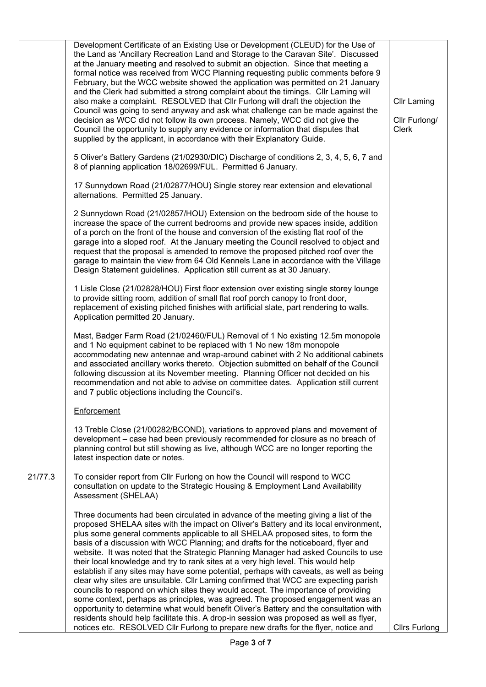|         | Development Certificate of an Existing Use or Development (CLEUD) for the Use of<br>the Land as 'Ancillary Recreation Land and Storage to the Caravan Site'. Discussed<br>at the January meeting and resolved to submit an objection. Since that meeting a<br>formal notice was received from WCC Planning requesting public comments before 9<br>February, but the WCC website showed the application was permitted on 21 January<br>and the Clerk had submitted a strong complaint about the timings. Cllr Laming will<br>also make a complaint. RESOLVED that Cllr Furlong will draft the objection the<br>Council was going to send anyway and ask what challenge can be made against the<br>decision as WCC did not follow its own process. Namely, WCC did not give the<br>Council the opportunity to supply any evidence or information that disputes that<br>supplied by the applicant, in accordance with their Explanatory Guide.<br>5 Oliver's Battery Gardens (21/02930/DIC) Discharge of conditions 2, 3, 4, 5, 6, 7 and<br>8 of planning application 18/02699/FUL. Permitted 6 January.<br>17 Sunnydown Road (21/02877/HOU) Single storey rear extension and elevational<br>alternations. Permitted 25 January. | <b>Cllr Laming</b><br>Cllr Furlong/<br>Clerk |
|---------|-------------------------------------------------------------------------------------------------------------------------------------------------------------------------------------------------------------------------------------------------------------------------------------------------------------------------------------------------------------------------------------------------------------------------------------------------------------------------------------------------------------------------------------------------------------------------------------------------------------------------------------------------------------------------------------------------------------------------------------------------------------------------------------------------------------------------------------------------------------------------------------------------------------------------------------------------------------------------------------------------------------------------------------------------------------------------------------------------------------------------------------------------------------------------------------------------------------------------------|----------------------------------------------|
|         | 2 Sunnydown Road (21/02857/HOU) Extension on the bedroom side of the house to<br>increase the space of the current bedrooms and provide new spaces inside, addition<br>of a porch on the front of the house and conversion of the existing flat roof of the<br>garage into a sloped roof. At the January meeting the Council resolved to object and<br>request that the proposal is amended to remove the proposed pitched roof over the<br>garage to maintain the view from 64 Old Kennels Lane in accordance with the Village<br>Design Statement guidelines. Application still current as at 30 January.                                                                                                                                                                                                                                                                                                                                                                                                                                                                                                                                                                                                                   |                                              |
|         | 1 Lisle Close (21/02828/HOU) First floor extension over existing single storey lounge<br>to provide sitting room, addition of small flat roof porch canopy to front door,<br>replacement of existing pitched finishes with artificial slate, part rendering to walls.<br>Application permitted 20 January.                                                                                                                                                                                                                                                                                                                                                                                                                                                                                                                                                                                                                                                                                                                                                                                                                                                                                                                    |                                              |
|         | Mast, Badger Farm Road (21/02460/FUL) Removal of 1 No existing 12.5m monopole<br>and 1 No equipment cabinet to be replaced with 1 No new 18m monopole<br>accommodating new antennae and wrap-around cabinet with 2 No additional cabinets<br>and associated ancillary works thereto. Objection submitted on behalf of the Council<br>following discussion at its November meeting. Planning Officer not decided on his<br>recommendation and not able to advise on committee dates. Application still current<br>and 7 public objections including the Council's.                                                                                                                                                                                                                                                                                                                                                                                                                                                                                                                                                                                                                                                             |                                              |
|         | Enforcement                                                                                                                                                                                                                                                                                                                                                                                                                                                                                                                                                                                                                                                                                                                                                                                                                                                                                                                                                                                                                                                                                                                                                                                                                   |                                              |
|         | 13 Treble Close (21/00282/BCOND), variations to approved plans and movement of<br>development – case had been previously recommended for closure as no breach of<br>planning control but still showing as live, although WCC are no longer reporting the<br>latest inspection date or notes.                                                                                                                                                                                                                                                                                                                                                                                                                                                                                                                                                                                                                                                                                                                                                                                                                                                                                                                                  |                                              |
| 21/77.3 | To consider report from Cllr Furlong on how the Council will respond to WCC<br>consultation on update to the Strategic Housing & Employment Land Availability<br>Assessment (SHELAA)                                                                                                                                                                                                                                                                                                                                                                                                                                                                                                                                                                                                                                                                                                                                                                                                                                                                                                                                                                                                                                          |                                              |
|         | Three documents had been circulated in advance of the meeting giving a list of the<br>proposed SHELAA sites with the impact on Oliver's Battery and its local environment,<br>plus some general comments applicable to all SHELAA proposed sites, to form the<br>basis of a discussion with WCC Planning; and drafts for the noticeboard, flyer and<br>website. It was noted that the Strategic Planning Manager had asked Councils to use<br>their local knowledge and try to rank sites at a very high level. This would help<br>establish if any sites may have some potential, perhaps with caveats, as well as being<br>clear why sites are unsuitable. Cllr Laming confirmed that WCC are expecting parish<br>councils to respond on which sites they would accept. The importance of providing<br>some context, perhaps as principles, was agreed. The proposed engagement was an<br>opportunity to determine what would benefit Oliver's Battery and the consultation with<br>residents should help facilitate this. A drop-in session was proposed as well as flyer,<br>notices etc. RESOLVED Cllr Furlong to prepare new drafts for the flyer, notice and                                                           | <b>Clirs Furlong</b>                         |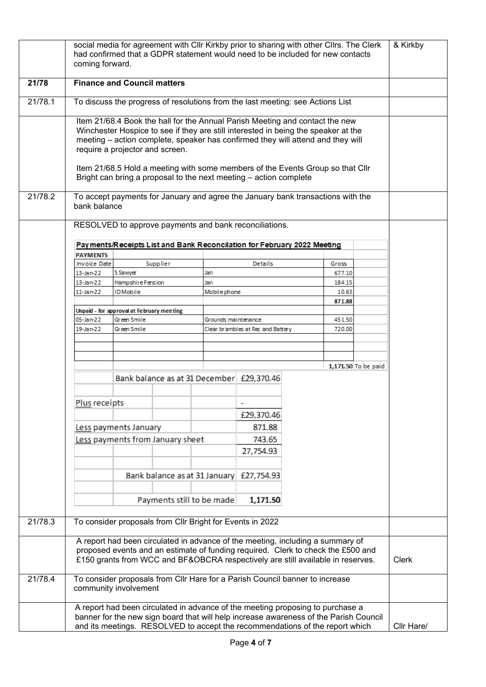|         | coming forward.                                                                                                                                                                                                                                                                                                                                                                                                                                 |                                           |                                  |                     | social media for agreement with CIIr Kirkby prior to sharing with other CIIrs. The Clerk<br>had confirmed that a GDPR statement would need to be included for new contacts |       |                 |                     | & Kirkby |
|---------|-------------------------------------------------------------------------------------------------------------------------------------------------------------------------------------------------------------------------------------------------------------------------------------------------------------------------------------------------------------------------------------------------------------------------------------------------|-------------------------------------------|----------------------------------|---------------------|----------------------------------------------------------------------------------------------------------------------------------------------------------------------------|-------|-----------------|---------------------|----------|
| 21/78   | <b>Finance and Council matters</b>                                                                                                                                                                                                                                                                                                                                                                                                              |                                           |                                  |                     |                                                                                                                                                                            |       |                 |                     |          |
| 21/78.1 | To discuss the progress of resolutions from the last meeting: see Actions List                                                                                                                                                                                                                                                                                                                                                                  |                                           |                                  |                     |                                                                                                                                                                            |       |                 |                     |          |
|         | Item 21/68.4 Book the hall for the Annual Parish Meeting and contact the new<br>Winchester Hospice to see if they are still interested in being the speaker at the<br>meeting - action complete, speaker has confirmed they will attend and they will<br>require a projector and screen.<br>Item 21/68.5 Hold a meeting with some members of the Events Group so that Cllr<br>Bright can bring a proposal to the next meeting - action complete |                                           |                                  |                     |                                                                                                                                                                            |       |                 |                     |          |
| 21/78.2 | bank balance                                                                                                                                                                                                                                                                                                                                                                                                                                    |                                           |                                  |                     | To accept payments for January and agree the January bank transactions with the                                                                                            |       |                 |                     |          |
|         |                                                                                                                                                                                                                                                                                                                                                                                                                                                 |                                           |                                  |                     | RESOLVED to approve payments and bank reconciliations.                                                                                                                     |       |                 |                     |          |
|         |                                                                                                                                                                                                                                                                                                                                                                                                                                                 |                                           |                                  |                     | Pay ments/Receipts List and Bank Reconcilation for February 2022 Meeting                                                                                                   |       |                 |                     |          |
|         | <b>PAYMENTS</b>                                                                                                                                                                                                                                                                                                                                                                                                                                 |                                           |                                  |                     |                                                                                                                                                                            |       |                 |                     |          |
|         | Invoice Date                                                                                                                                                                                                                                                                                                                                                                                                                                    |                                           | Supplier                         |                     | Details                                                                                                                                                                    |       | Gross           |                     |          |
|         | 13-Jan-22                                                                                                                                                                                                                                                                                                                                                                                                                                       | S Sawyer                                  |                                  | Jan                 |                                                                                                                                                                            |       | 677.10          |                     |          |
|         | 13-Jan-22<br>11-Jan-22                                                                                                                                                                                                                                                                                                                                                                                                                          | Hampshire Pension<br><b>IDMobile</b>      |                                  | Jan                 |                                                                                                                                                                            |       | 184.15<br>10.63 |                     |          |
|         |                                                                                                                                                                                                                                                                                                                                                                                                                                                 |                                           |                                  | Mobile phone        |                                                                                                                                                                            |       | 871.88          |                     |          |
|         |                                                                                                                                                                                                                                                                                                                                                                                                                                                 | Unpaid - for approval at February meeting |                                  |                     |                                                                                                                                                                            |       |                 |                     |          |
|         | 05-Jan-22                                                                                                                                                                                                                                                                                                                                                                                                                                       | Green Smile                               |                                  | Grounds maintenance |                                                                                                                                                                            |       | 451.50          |                     |          |
|         | 19-Jan-22                                                                                                                                                                                                                                                                                                                                                                                                                                       | Green Smile                               |                                  |                     | Clear brambles at Rec and Battery                                                                                                                                          |       | 720.00          |                     |          |
|         |                                                                                                                                                                                                                                                                                                                                                                                                                                                 |                                           |                                  |                     |                                                                                                                                                                            |       |                 |                     |          |
|         |                                                                                                                                                                                                                                                                                                                                                                                                                                                 |                                           |                                  |                     |                                                                                                                                                                            |       |                 |                     |          |
|         |                                                                                                                                                                                                                                                                                                                                                                                                                                                 |                                           |                                  |                     |                                                                                                                                                                            |       |                 |                     |          |
|         |                                                                                                                                                                                                                                                                                                                                                                                                                                                 |                                           |                                  |                     |                                                                                                                                                                            |       |                 | 1,171.50 To be paid |          |
|         | Bank balance as at 31 December £29,370.46                                                                                                                                                                                                                                                                                                                                                                                                       |                                           |                                  |                     |                                                                                                                                                                            |       |                 |                     |          |
|         |                                                                                                                                                                                                                                                                                                                                                                                                                                                 |                                           |                                  |                     |                                                                                                                                                                            |       |                 |                     |          |
|         | Plus receipts                                                                                                                                                                                                                                                                                                                                                                                                                                   |                                           |                                  |                     |                                                                                                                                                                            |       |                 |                     |          |
|         |                                                                                                                                                                                                                                                                                                                                                                                                                                                 |                                           |                                  |                     | £29,370.46                                                                                                                                                                 |       |                 |                     |          |
|         |                                                                                                                                                                                                                                                                                                                                                                                                                                                 | Less payments January                     |                                  |                     | 871.88                                                                                                                                                                     |       |                 |                     |          |
|         |                                                                                                                                                                                                                                                                                                                                                                                                                                                 |                                           | Less payments from January sheet |                     | 743.65                                                                                                                                                                     |       |                 |                     |          |
|         |                                                                                                                                                                                                                                                                                                                                                                                                                                                 |                                           |                                  |                     | 27,754.93                                                                                                                                                                  |       |                 |                     |          |
|         |                                                                                                                                                                                                                                                                                                                                                                                                                                                 |                                           |                                  |                     |                                                                                                                                                                            |       |                 |                     |          |
|         |                                                                                                                                                                                                                                                                                                                                                                                                                                                 |                                           | Bank balance as at 31 January    |                     | £27,754.93                                                                                                                                                                 |       |                 |                     |          |
|         | Payments still to be made<br>1,171.50                                                                                                                                                                                                                                                                                                                                                                                                           |                                           |                                  |                     |                                                                                                                                                                            |       |                 |                     |          |
| 21/78.3 |                                                                                                                                                                                                                                                                                                                                                                                                                                                 |                                           |                                  |                     | To consider proposals from Cllr Bright for Events in 2022                                                                                                                  |       |                 |                     |          |
|         | A report had been circulated in advance of the meeting, including a summary of<br>proposed events and an estimate of funding required. Clerk to check the £500 and<br>£150 grants from WCC and BF&OBCRA respectively are still available in reserves.                                                                                                                                                                                           |                                           |                                  |                     |                                                                                                                                                                            | Clerk |                 |                     |          |
| 21/78.4 |                                                                                                                                                                                                                                                                                                                                                                                                                                                 | community involvement                     |                                  |                     | To consider proposals from Cllr Hare for a Parish Council banner to increase                                                                                               |       |                 |                     |          |
|         | A report had been circulated in advance of the meeting proposing to purchase a<br>banner for the new sign board that will help increase awareness of the Parish Council<br>and its meetings. RESOLVED to accept the recommendations of the report which                                                                                                                                                                                         |                                           |                                  |                     |                                                                                                                                                                            |       | Cllr Hare/      |                     |          |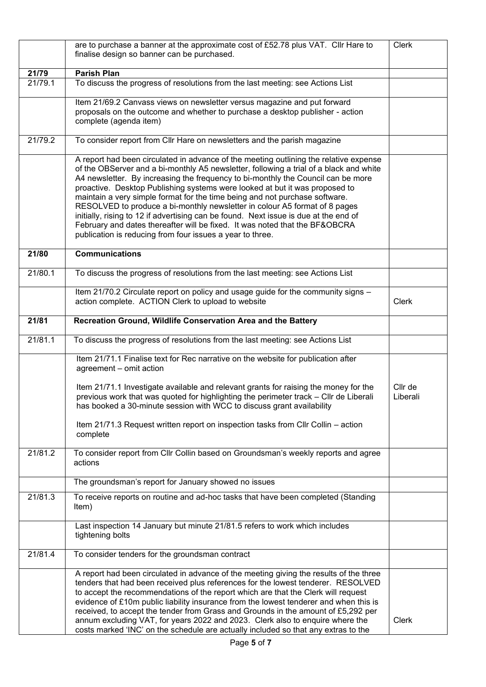|         | are to purchase a banner at the approximate cost of £52.78 plus VAT. Cllr Hare to<br>finalise design so banner can be purchased.                                                                                                                                                                                                                                                                                                                                                                                                                                                                                                                                                                                                                    |                     |  |  |  |  |
|---------|-----------------------------------------------------------------------------------------------------------------------------------------------------------------------------------------------------------------------------------------------------------------------------------------------------------------------------------------------------------------------------------------------------------------------------------------------------------------------------------------------------------------------------------------------------------------------------------------------------------------------------------------------------------------------------------------------------------------------------------------------------|---------------------|--|--|--|--|
| 21/79   | <b>Parish Plan</b>                                                                                                                                                                                                                                                                                                                                                                                                                                                                                                                                                                                                                                                                                                                                  |                     |  |  |  |  |
| 21/79.1 | To discuss the progress of resolutions from the last meeting: see Actions List                                                                                                                                                                                                                                                                                                                                                                                                                                                                                                                                                                                                                                                                      |                     |  |  |  |  |
|         | Item 21/69.2 Canvass views on newsletter versus magazine and put forward<br>proposals on the outcome and whether to purchase a desktop publisher - action<br>complete (agenda item)                                                                                                                                                                                                                                                                                                                                                                                                                                                                                                                                                                 |                     |  |  |  |  |
| 21/79.2 | To consider report from Cllr Hare on newsletters and the parish magazine                                                                                                                                                                                                                                                                                                                                                                                                                                                                                                                                                                                                                                                                            |                     |  |  |  |  |
|         | A report had been circulated in advance of the meeting outlining the relative expense<br>of the OBServer and a bi-monthly A5 newsletter, following a trial of a black and white<br>A4 newsletter. By increasing the frequency to bi-monthly the Council can be more<br>proactive. Desktop Publishing systems were looked at but it was proposed to<br>maintain a very simple format for the time being and not purchase software.<br>RESOLVED to produce a bi-monthly newsletter in colour A5 format of 8 pages<br>initially, rising to 12 if advertising can be found. Next issue is due at the end of<br>February and dates thereafter will be fixed. It was noted that the BF&OBCRA<br>publication is reducing from four issues a year to three. |                     |  |  |  |  |
| 21/80   | <b>Communications</b>                                                                                                                                                                                                                                                                                                                                                                                                                                                                                                                                                                                                                                                                                                                               |                     |  |  |  |  |
| 21/80.1 | To discuss the progress of resolutions from the last meeting: see Actions List                                                                                                                                                                                                                                                                                                                                                                                                                                                                                                                                                                                                                                                                      |                     |  |  |  |  |
|         | Item 21/70.2 Circulate report on policy and usage guide for the community signs -<br>action complete. ACTION Clerk to upload to website                                                                                                                                                                                                                                                                                                                                                                                                                                                                                                                                                                                                             | <b>Clerk</b>        |  |  |  |  |
| 21/81   | Recreation Ground, Wildlife Conservation Area and the Battery                                                                                                                                                                                                                                                                                                                                                                                                                                                                                                                                                                                                                                                                                       |                     |  |  |  |  |
| 21/81.1 | To discuss the progress of resolutions from the last meeting: see Actions List                                                                                                                                                                                                                                                                                                                                                                                                                                                                                                                                                                                                                                                                      |                     |  |  |  |  |
|         | Item 21/71.1 Finalise text for Rec narrative on the website for publication after<br>agreement - omit action                                                                                                                                                                                                                                                                                                                                                                                                                                                                                                                                                                                                                                        |                     |  |  |  |  |
|         | Item 21/71.1 Investigate available and relevant grants for raising the money for the<br>previous work that was quoted for highlighting the perimeter track - Cllr de Liberali<br>has booked a 30-minute session with WCC to discuss grant availability                                                                                                                                                                                                                                                                                                                                                                                                                                                                                              | Cllr de<br>Liberali |  |  |  |  |
|         | Item 21/71.3 Request written report on inspection tasks from Cllr Collin - action<br>complete                                                                                                                                                                                                                                                                                                                                                                                                                                                                                                                                                                                                                                                       |                     |  |  |  |  |
| 21/81.2 | To consider report from Cllr Collin based on Groundsman's weekly reports and agree<br>actions                                                                                                                                                                                                                                                                                                                                                                                                                                                                                                                                                                                                                                                       |                     |  |  |  |  |
|         | The groundsman's report for January showed no issues                                                                                                                                                                                                                                                                                                                                                                                                                                                                                                                                                                                                                                                                                                |                     |  |  |  |  |
| 21/81.3 | To receive reports on routine and ad-hoc tasks that have been completed (Standing<br>Item)                                                                                                                                                                                                                                                                                                                                                                                                                                                                                                                                                                                                                                                          |                     |  |  |  |  |
|         | Last inspection 14 January but minute 21/81.5 refers to work which includes<br>tightening bolts                                                                                                                                                                                                                                                                                                                                                                                                                                                                                                                                                                                                                                                     |                     |  |  |  |  |
| 21/81.4 | To consider tenders for the groundsman contract                                                                                                                                                                                                                                                                                                                                                                                                                                                                                                                                                                                                                                                                                                     |                     |  |  |  |  |
|         | A report had been circulated in advance of the meeting giving the results of the three<br>tenders that had been received plus references for the lowest tenderer. RESOLVED<br>to accept the recommendations of the report which are that the Clerk will request<br>evidence of £10m public liability insurance from the lowest tenderer and when this is<br>received, to accept the tender from Grass and Grounds in the amount of £5,292 per<br>annum excluding VAT, for years 2022 and 2023. Clerk also to enquire where the<br>costs marked 'INC' on the schedule are actually included so that any extras to the                                                                                                                                | <b>Clerk</b>        |  |  |  |  |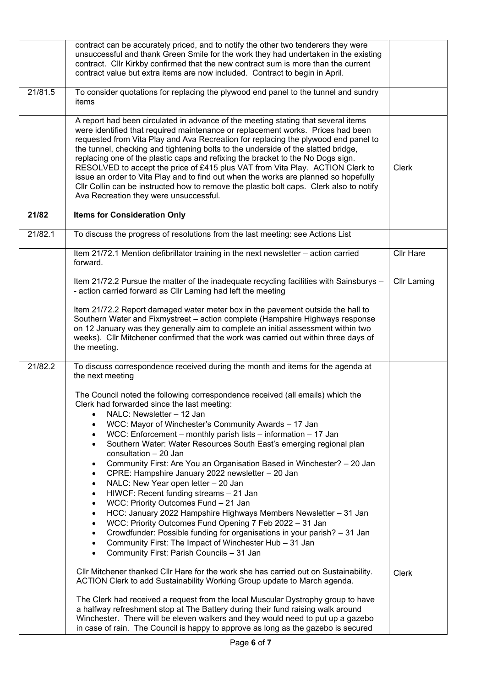|         | contract can be accurately priced, and to notify the other two tenderers they were<br>unsuccessful and thank Green Smile for the work they had undertaken in the existing<br>contract. Cllr Kirkby confirmed that the new contract sum is more than the current<br>contract value but extra items are now included. Contract to begin in April.                                                                                                                                                                                                                                                                                                                                                                                                                                                                                                                                                                                                                                                                                                                                                                                                                                                                                                                                                                                                                                                                                                                                                                                                                                                                                      |                    |
|---------|--------------------------------------------------------------------------------------------------------------------------------------------------------------------------------------------------------------------------------------------------------------------------------------------------------------------------------------------------------------------------------------------------------------------------------------------------------------------------------------------------------------------------------------------------------------------------------------------------------------------------------------------------------------------------------------------------------------------------------------------------------------------------------------------------------------------------------------------------------------------------------------------------------------------------------------------------------------------------------------------------------------------------------------------------------------------------------------------------------------------------------------------------------------------------------------------------------------------------------------------------------------------------------------------------------------------------------------------------------------------------------------------------------------------------------------------------------------------------------------------------------------------------------------------------------------------------------------------------------------------------------------|--------------------|
| 21/81.5 | To consider quotations for replacing the plywood end panel to the tunnel and sundry<br>items                                                                                                                                                                                                                                                                                                                                                                                                                                                                                                                                                                                                                                                                                                                                                                                                                                                                                                                                                                                                                                                                                                                                                                                                                                                                                                                                                                                                                                                                                                                                         |                    |
|         | A report had been circulated in advance of the meeting stating that several items<br>were identified that required maintenance or replacement works. Prices had been<br>requested from Vita Play and Ava Recreation for replacing the plywood end panel to<br>the tunnel, checking and tightening bolts to the underside of the slatted bridge,<br>replacing one of the plastic caps and refixing the bracket to the No Dogs sign.<br>RESOLVED to accept the price of £415 plus VAT from Vita Play. ACTION Clerk to<br>issue an order to Vita Play and to find out when the works are planned so hopefully<br>Cllr Collin can be instructed how to remove the plastic bolt caps. Clerk also to notify<br>Ava Recreation they were unsuccessful.                                                                                                                                                                                                                                                                                                                                                                                                                                                                                                                                                                                                                                                                                                                                                                                                                                                                                      | <b>Clerk</b>       |
| 21/82   | <b>Items for Consideration Only</b>                                                                                                                                                                                                                                                                                                                                                                                                                                                                                                                                                                                                                                                                                                                                                                                                                                                                                                                                                                                                                                                                                                                                                                                                                                                                                                                                                                                                                                                                                                                                                                                                  |                    |
| 21/82.1 | To discuss the progress of resolutions from the last meeting: see Actions List                                                                                                                                                                                                                                                                                                                                                                                                                                                                                                                                                                                                                                                                                                                                                                                                                                                                                                                                                                                                                                                                                                                                                                                                                                                                                                                                                                                                                                                                                                                                                       |                    |
|         | Item 21/72.1 Mention defibrillator training in the next newsletter - action carried<br>forward.                                                                                                                                                                                                                                                                                                                                                                                                                                                                                                                                                                                                                                                                                                                                                                                                                                                                                                                                                                                                                                                                                                                                                                                                                                                                                                                                                                                                                                                                                                                                      | <b>Cllr Hare</b>   |
|         | Item 21/72.2 Pursue the matter of the inadequate recycling facilities with Sainsburys -<br>- action carried forward as Cllr Laming had left the meeting                                                                                                                                                                                                                                                                                                                                                                                                                                                                                                                                                                                                                                                                                                                                                                                                                                                                                                                                                                                                                                                                                                                                                                                                                                                                                                                                                                                                                                                                              | <b>Cllr Laming</b> |
|         | Item 21/72.2 Report damaged water meter box in the pavement outside the hall to<br>Southern Water and Fixmystreet - action complete (Hampshire Highways response<br>on 12 January was they generally aim to complete an initial assessment within two<br>weeks). Cllr Mitchener confirmed that the work was carried out within three days of<br>the meeting.                                                                                                                                                                                                                                                                                                                                                                                                                                                                                                                                                                                                                                                                                                                                                                                                                                                                                                                                                                                                                                                                                                                                                                                                                                                                         |                    |
| 21/82.2 | To discuss correspondence received during the month and items for the agenda at<br>the next meeting                                                                                                                                                                                                                                                                                                                                                                                                                                                                                                                                                                                                                                                                                                                                                                                                                                                                                                                                                                                                                                                                                                                                                                                                                                                                                                                                                                                                                                                                                                                                  |                    |
|         | The Council noted the following correspondence received (all emails) which the<br>Clerk had forwarded since the last meeting:<br>NALC: Newsletter - 12 Jan<br>WCC: Mayor of Winchester's Community Awards - 17 Jan<br>$\bullet$<br>WCC: Enforcement - monthly parish lists - information - 17 Jan<br>$\bullet$<br>Southern Water: Water Resources South East's emerging regional plan<br>consultation - 20 Jan<br>Community First: Are You an Organisation Based in Winchester? - 20 Jan<br>٠<br>CPRE: Hampshire January 2022 newsletter - 20 Jan<br>$\bullet$<br>NALC: New Year open letter - 20 Jan<br>$\bullet$<br>HIWCF: Recent funding streams - 21 Jan<br>$\bullet$<br>WCC: Priority Outcomes Fund - 21 Jan<br>$\bullet$<br>HCC: January 2022 Hampshire Highways Members Newsletter - 31 Jan<br>$\bullet$<br>WCC: Priority Outcomes Fund Opening 7 Feb 2022 - 31 Jan<br>$\bullet$<br>Crowdfunder: Possible funding for organisations in your parish? - 31 Jan<br>$\bullet$<br>Community First: The Impact of Winchester Hub - 31 Jan<br>$\bullet$<br>Community First: Parish Councils - 31 Jan<br>$\bullet$<br>Cllr Mitchener thanked Cllr Hare for the work she has carried out on Sustainability.<br>ACTION Clerk to add Sustainability Working Group update to March agenda.<br>The Clerk had received a request from the local Muscular Dystrophy group to have<br>a halfway refreshment stop at The Battery during their fund raising walk around<br>Winchester. There will be eleven walkers and they would need to put up a gazebo<br>in case of rain. The Council is happy to approve as long as the gazebo is secured | <b>Clerk</b>       |